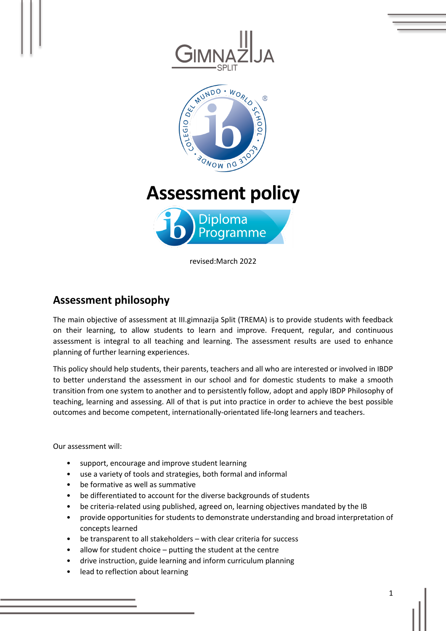

# **Assessment philosophy**

The main objective of assessment at III.gimnazija Split (TREMA) is to provide students with feedback on their learning, to allow students to learn and improve. Frequent, regular, and continuous assessment is integral to all teaching and learning. The assessment results are used to enhance planning of further learning experiences.

This policy should help students, their parents, teachers and all who are interested or involved in IBDP to better understand the assessment in our school and for domestic students to make a smooth transition from one system to another and to persistently follow, adopt and apply IBDP Philosophy of teaching, learning and assessing. All of that is put into practice in order to achieve the best possible outcomes and become competent, internationally-orientated life-long learners and teachers.

Our assessment will:

- support, encourage and improve student learning
- use a variety of tools and strategies, both formal and informal
- be formative as well as summative
- be differentiated to account for the diverse backgrounds of students
- be criteria-related using published, agreed on, learning objectives mandated by the IB
- provide opportunities for students to demonstrate understanding and broad interpretation of concepts learned
- be transparent to all stakeholders with clear criteria for success
- allow for student choice putting the student at the centre
- drive instruction, guide learning and inform curriculum planning
- lead to reflection about learning

1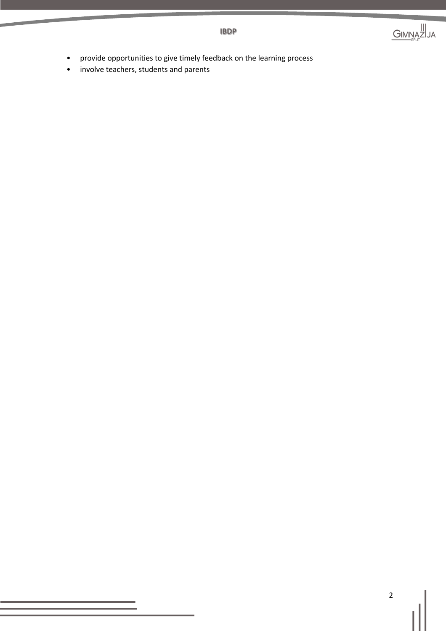

- provide opportunities to give timely feedback on the learning process
- involve teachers, students and parents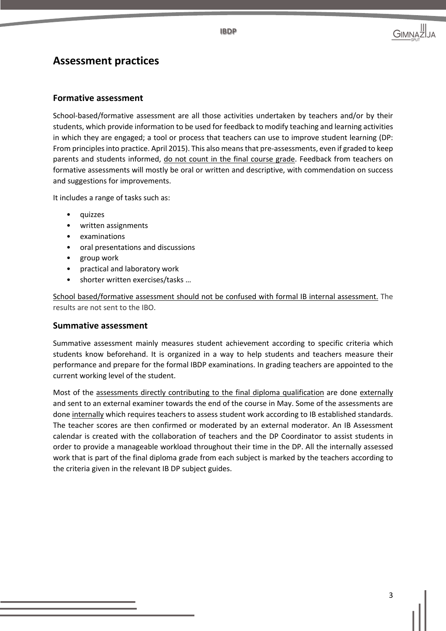**IBDP**

# **Assessment practices**

### **Formative assessment**

School-based/formative assessment are all those activities undertaken by teachers and/or by their students, which provide information to be used for feedback to modify teaching and learning activities in which they are engaged; a tool or process that teachers can use to improve student learning (DP: From principles into practice. April 2015). This also means that pre-assessments, even if graded to keep parents and students informed, do not count in the final course grade. Feedback from teachers on formative assessments will mostly be oral or written and descriptive, with commendation on success and suggestions for improvements.

It includes a range of tasks such as:

- quizzes
- written assignments
- examinations
- oral presentations and discussions
- group work
- practical and laboratory work
- shorter written exercises/tasks …

School based/formative assessment should not be confused with formal IB internal assessment. The results are not sent to the IBO.

#### **Summative assessment**

Summative assessment mainly measures student achievement according to specific criteria which students know beforehand. It is organized in a way to help students and teachers measure their performance and prepare for the formal IBDP examinations. In grading teachers are appointed to the current working level of the student.

Most of the assessments directly contributing to the final diploma qualification are done externally and sent to an external examiner towards the end of the course in May. Some of the assessments are done internally which requires teachers to assess student work according to IB established standards. The teacher scores are then confirmed or moderated by an external moderator. An IB Assessment calendar is created with the collaboration of teachers and the DP Coordinator to assist students in order to provide a manageable workload throughout their time in the DP. All the internally assessed work that is part of the final diploma grade from each subject is marked by the teachers according to the criteria given in the relevant IB DP subject guides.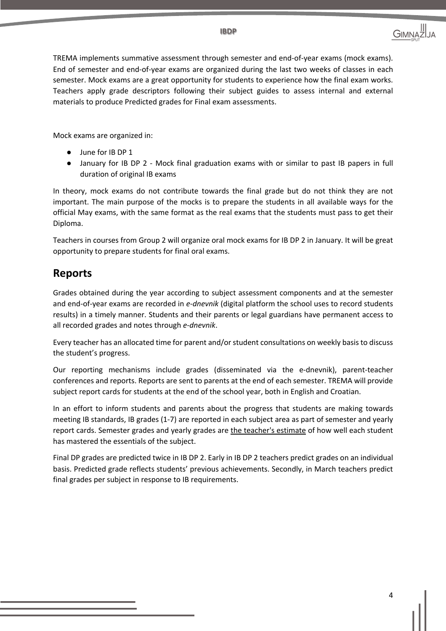TREMA implements summative assessment through semester and end-of-year exams (mock exams). End of semester and end-of-year exams are organized during the last two weeks of classes in each semester. Mock exams are a great opportunity for students to experience how the final exam works. Teachers apply grade descriptors following their subject guides to assess internal and external materials to produce Predicted grades for Final exam assessments.

**IBDP**

Mock exams are organized in:

- June for IB DP 1
- January for IB DP 2 Mock final graduation exams with or similar to past IB papers in full duration of original IB exams

In theory, mock exams do not contribute towards the final grade but do not think they are not important. The main purpose of the mocks is to prepare the students in all available ways for the official May exams, with the same format as the real exams that the students must pass to get their Diploma.

Teachers in courses from Group 2 will organize oral mock exams for IB DP 2 in January. It will be great opportunity to prepare students for final oral exams.

# **Reports**

Grades obtained during the year according to subject assessment components and at the semester and end-of-year exams are recorded in *e-dnevnik* (digital platform the school uses to record students results) in a timely manner. Students and their parents or legal guardians have permanent access to all recorded grades and notes through *e-dnevnik*.

Every teacher has an allocated time for parent and/or student consultations on weekly basis to discuss the student's progress.

Our reporting mechanisms include grades (disseminated via the e-dnevnik), parent-teacher conferences and reports. Reports are sent to parents at the end of each semester. TREMA will provide subject report cards for students at the end of the school year, both in English and Croatian.

In an effort to inform students and parents about the progress that students are making towards meeting IB standards, IB grades (1-7) are reported in each subject area as part of semester and yearly report cards. Semester grades and yearly grades are the teacher's estimate of how well each student has mastered the essentials of the subject.

Final DP grades are predicted twice in IB DP 2. Early in IB DP 2 teachers predict grades on an individual basis. Predicted grade reflects students' previous achievements. Secondly, in March teachers predict final grades per subject in response to IB requirements.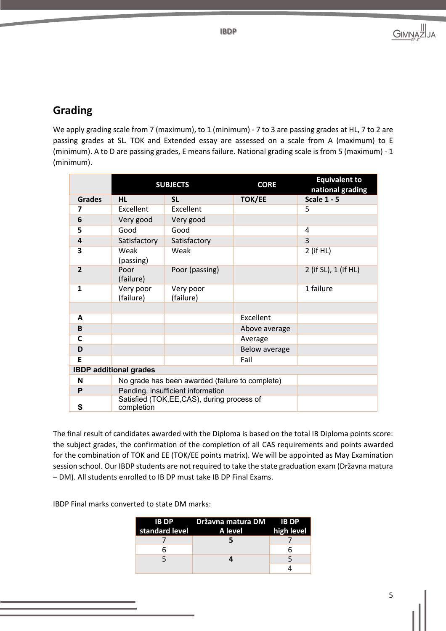

# **Grading**

We apply grading scale from 7 (maximum), to 1 (minimum) - 7 to 3 are passing grades at HL, 7 to 2 are passing grades at SL. TOK and Extended essay are assessed on a scale from A (maximum) to E (minimum). A to D are passing grades, E means failure. National grading scale is from 5 (maximum) - 1 (minimum).

|                         | <b>SUBJECTS</b>                                           |                        | <b>CORE</b>   | <b>Equivalent to</b><br>national grading |  |
|-------------------------|-----------------------------------------------------------|------------------------|---------------|------------------------------------------|--|
| <b>Grades</b>           | <b>HL</b>                                                 | <b>SL</b>              | <b>TOK/EE</b> | <b>Scale 1 - 5</b>                       |  |
| 7                       | Excellent                                                 | Excellent              |               | 5                                        |  |
| 6                       | Very good                                                 | Very good              |               |                                          |  |
| 5                       | Good                                                      | Good                   |               | 4                                        |  |
| $\overline{\mathbf{a}}$ | Satisfactory                                              | Satisfactory           |               | 3                                        |  |
| 3                       | Weak<br>(passing)                                         | Weak                   |               | 2 (if HL)                                |  |
| $\overline{2}$          | Poor<br>(failure)                                         | Poor (passing)         |               | 2 (if SL), 1 (if HL)                     |  |
| $\mathbf{1}$            | Very poor<br>(failure)                                    | Very poor<br>(failure) |               | 1 failure                                |  |
|                         |                                                           |                        |               |                                          |  |
| A                       |                                                           |                        | Excellent     |                                          |  |
| B                       |                                                           |                        | Above average |                                          |  |
| C                       |                                                           |                        | Average       |                                          |  |
| D                       |                                                           |                        | Below average |                                          |  |
| E                       |                                                           |                        | Fail          |                                          |  |
|                         | <b>IBDP</b> additional grades                             |                        |               |                                          |  |
| N                       | No grade has been awarded (failure to complete)           |                        |               |                                          |  |
| P                       | Pending, insufficient information                         |                        |               |                                          |  |
| S                       | Satisfied (TOK, EE, CAS), during process of<br>completion |                        |               |                                          |  |

The final result of candidates awarded with the Diploma is based on the total IB Diploma points score: the subject grades, the confirmation of the completion of all CAS requirements and points awarded for the combination of TOK and EE (TOK/EE points matrix). We will be appointed as May Examination session school. Our IBDP students are not required to take the state graduation exam (Državna matura – DM). All students enrolled to IB DP must take IB DP Final Exams.

IBDP Final marks converted to state DM marks:

| standard level | IB DP Državna matura DM IB DP<br><b>Example 2</b> A level | high level |
|----------------|-----------------------------------------------------------|------------|
|                |                                                           |            |
|                |                                                           |            |
|                |                                                           |            |
|                |                                                           |            |

5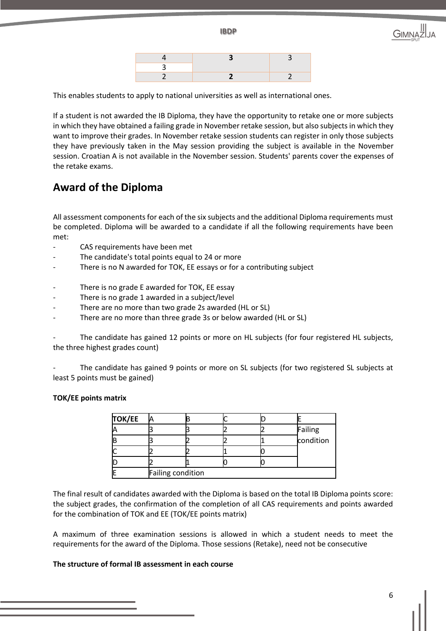**IBDP**



This enables students to apply to national universities as well as international ones.

If a student is not awarded the IB Diploma, they have the opportunity to retake one or more subjects in which they have obtained a failing grade in November retake session, but also subjects in which they want to improve their grades. In November retake session students can register in only those subjects they have previously taken in the May session providing the subject is available in the November session. Croatian A is not available in the November session. Students' parents cover the expenses of the retake exams.

### **Award of the Diploma**

All assessment components for each of the six subjects and the additional Diploma requirements must be completed. Diploma will be awarded to a candidate if all the following requirements have been met:

- CAS requirements have been met
- The candidate's total points equal to 24 or more
- There is no N awarded for TOK, EE essays or for a contributing subject
- There is no grade E awarded for TOK, EE essay
- There is no grade 1 awarded in a subject/level
- There are no more than two grade 2s awarded (HL or SL)
- There are no more than three grade 3s or below awarded (HL or SL)

The candidate has gained 12 points or more on HL subjects (for four registered HL subjects, the three highest grades count)

The candidate has gained 9 points or more on SL subjects (for two registered SL subjects at least 5 points must be gained)

### **TOK/EE points matrix**

| <b>TOK/EE</b> |                   |  |  |  |                      |
|---------------|-------------------|--|--|--|----------------------|
|               |                   |  |  |  |                      |
| IE            |                   |  |  |  | Failing<br>condition |
|               |                   |  |  |  |                      |
|               |                   |  |  |  |                      |
|               | Failing condition |  |  |  |                      |

The final result of candidates awarded with the Diploma is based on the total IB Diploma points score: the subject grades, the confirmation of the completion of all CAS requirements and points awarded for the combination of TOK and EE (TOK/EE points matrix)

A maximum of three examination sessions is allowed in which a student needs to meet the requirements for the award of the Diploma. Those sessions (Retake), need not be consecutive

### **The structure of formal IB assessment in each course**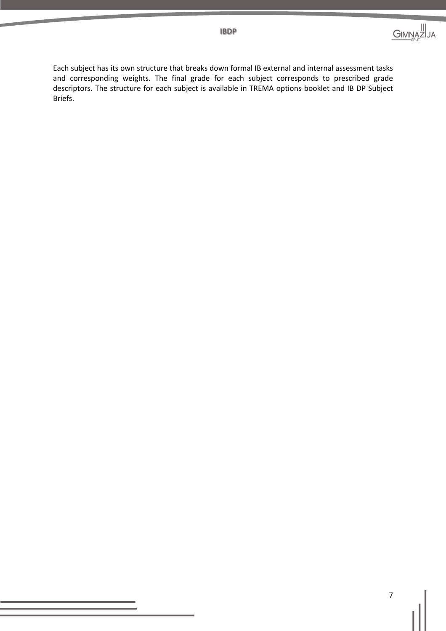Each subject has its own structure that breaks down formal IB external and internal assessment tasks and corresponding weights. The final grade for each subject corresponds to prescribed grade descriptors. The structure for each subject is available in TREMA options booklet and IB DP Subject Briefs.